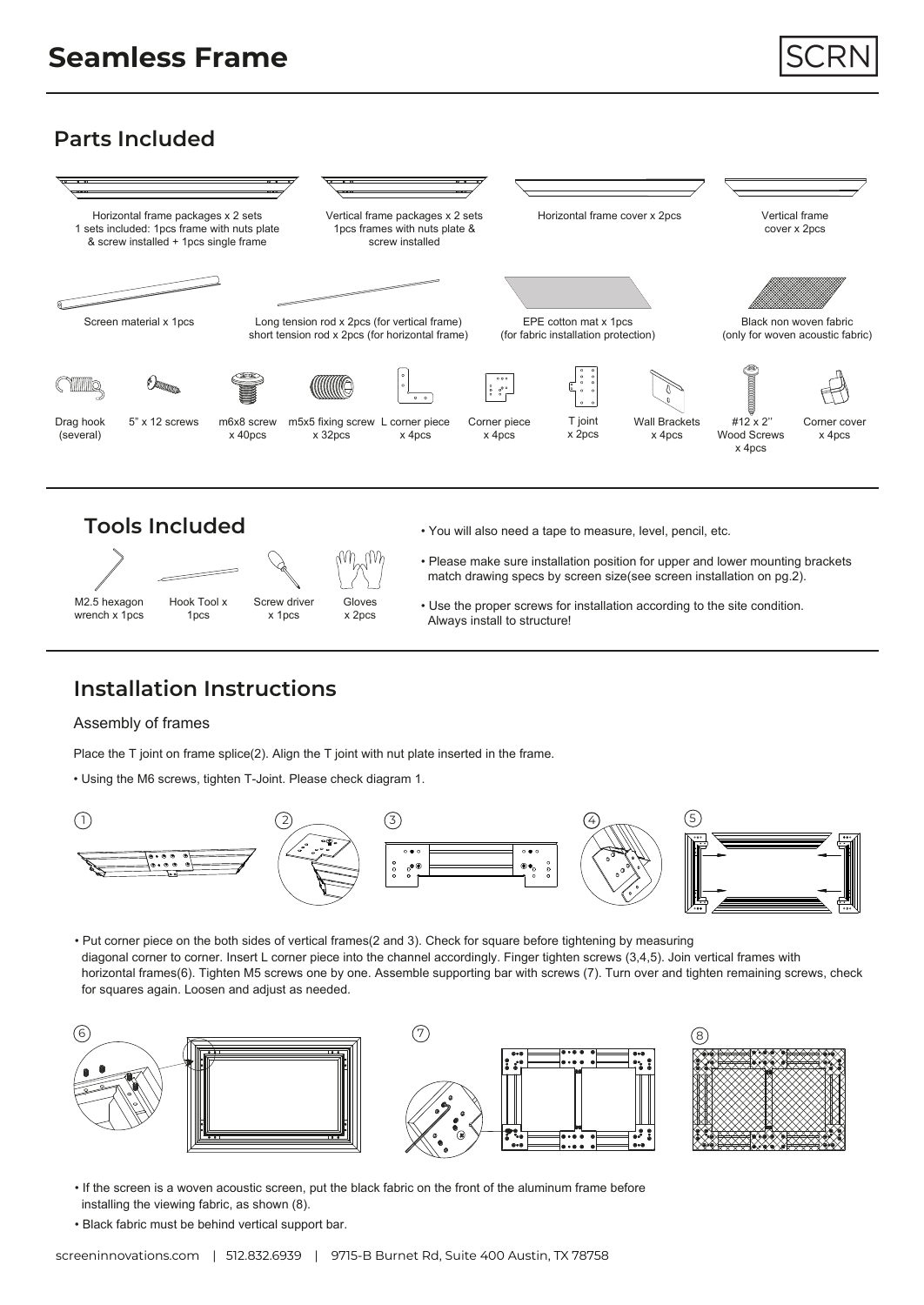# **Parts Included**









- You will also need a tape to measure, level, pencil, etc.
- Please make sure installation position for upper and lower mounting brackets match drawing specs by screen size(see screen installation on pg.2).
- Use the proper screws for installation according to the site condition. Always install to structure!

# **Installation Instructions**

### Assembly of frames

M2.5 hexagon wrench x 1pcs

Place the T joint on frame splice(2). Align the T joint with nut plate inserted in the frame.

• Using the M6 screws, tighten T-Joint. Please check diagram 1.



• Put corner piece on the both sides of vertical frames(2 and 3). Check for square before tightening by measuring diagonal corner to corner. Insert L corner piece into the channel accordingly. Finger tighten screws (3,4,5). Join vertical frames with horizontal frames(6). Tighten M5 screws one by one. Assemble supporting bar with screws (7). Turn over and tighten remaining screws, check for squares again. Loosen and adjust as needed.



- If the screen is a woven acoustic screen, put the black fabric on the front of the aluminum frame before installing the viewing fabric, as shown (8).
- Black fabric must be behind vertical support bar.